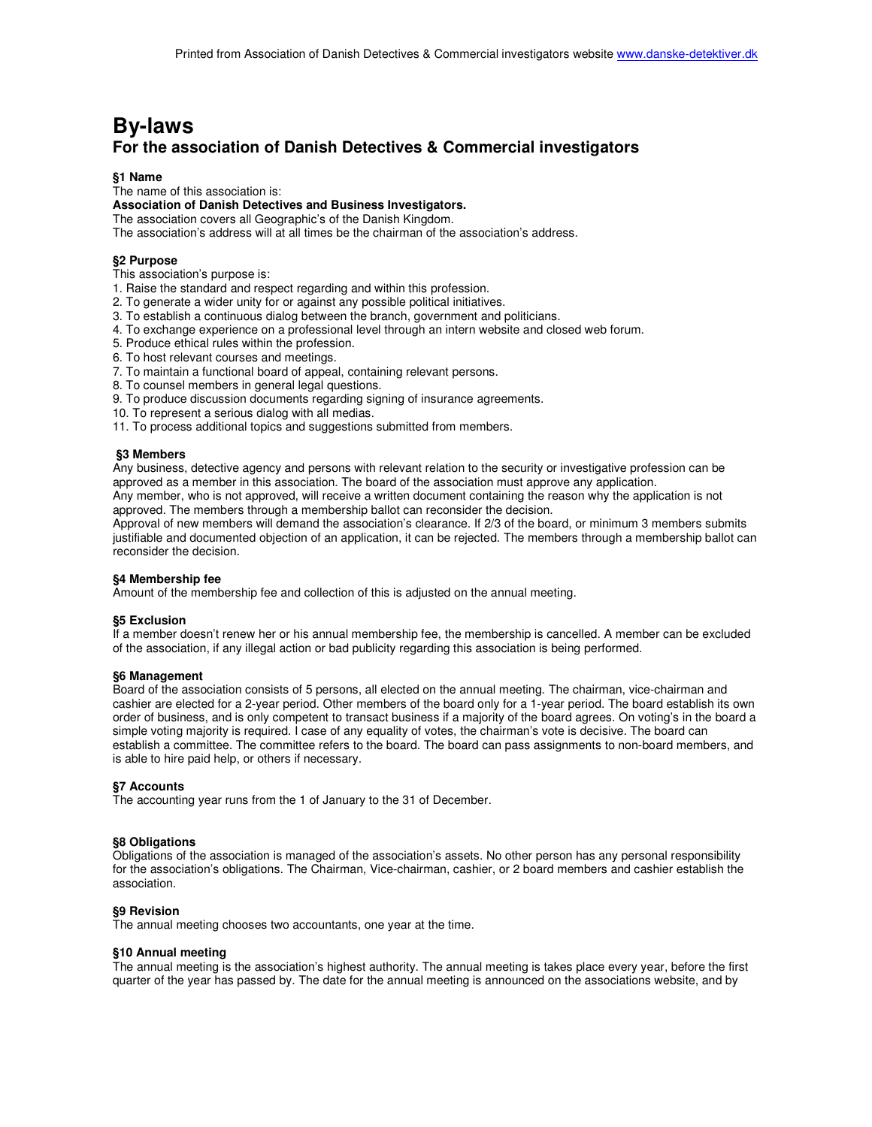# **By-laws For the association of Danish Detectives & Commercial investigators**

# **§1 Name**

The name of this association is:

## **Association of Danish Detectives and Business Investigators.**

The association covers all Geographic's of the Danish Kingdom.

The association's address will at all times be the chairman of the association's address.

## **§2 Purpose**

- This association's purpose is:
- 1. Raise the standard and respect regarding and within this profession.
- 2. To generate a wider unity for or against any possible political initiatives.
- 3. To establish a continuous dialog between the branch, government and politicians.
- 4. To exchange experience on a professional level through an intern website and closed web forum.
- 5. Produce ethical rules within the profession.
- 6. To host relevant courses and meetings.
- 7. To maintain a functional board of appeal, containing relevant persons.
- 8. To counsel members in general legal questions.
- 9. To produce discussion documents regarding signing of insurance agreements.
- 10. To represent a serious dialog with all medias.
- 11. To process additional topics and suggestions submitted from members.

#### **§3 Members**

Any business, detective agency and persons with relevant relation to the security or investigative profession can be approved as a member in this association. The board of the association must approve any application. Any member, who is not approved, will receive a written document containing the reason why the application is not approved. The members through a membership ballot can reconsider the decision.

Approval of new members will demand the association's clearance. If 2/3 of the board, or minimum 3 members submits justifiable and documented objection of an application, it can be rejected. The members through a membership ballot can reconsider the decision.

#### **§4 Membership fee**

Amount of the membership fee and collection of this is adjusted on the annual meeting.

#### **§5 Exclusion**

If a member doesn't renew her or his annual membership fee, the membership is cancelled. A member can be excluded of the association, if any illegal action or bad publicity regarding this association is being performed.

#### **§6 Management**

Board of the association consists of 5 persons, all elected on the annual meeting. The chairman, vice-chairman and cashier are elected for a 2-year period. Other members of the board only for a 1-year period. The board establish its own order of business, and is only competent to transact business if a majority of the board agrees. On voting's in the board a simple voting majority is required. I case of any equality of votes, the chairman's vote is decisive. The board can establish a committee. The committee refers to the board. The board can pass assignments to non-board members, and is able to hire paid help, or others if necessary.

#### **§7 Accounts**

The accounting year runs from the 1 of January to the 31 of December.

#### **§8 Obligations**

Obligations of the association is managed of the association's assets. No other person has any personal responsibility for the association's obligations. The Chairman, Vice-chairman, cashier, or 2 board members and cashier establish the association.

#### **§9 Revision**

The annual meeting chooses two accountants, one year at the time.

#### **§10 Annual meeting**

The annual meeting is the association's highest authority. The annual meeting is takes place every year, before the first quarter of the year has passed by. The date for the annual meeting is announced on the associations website, and by